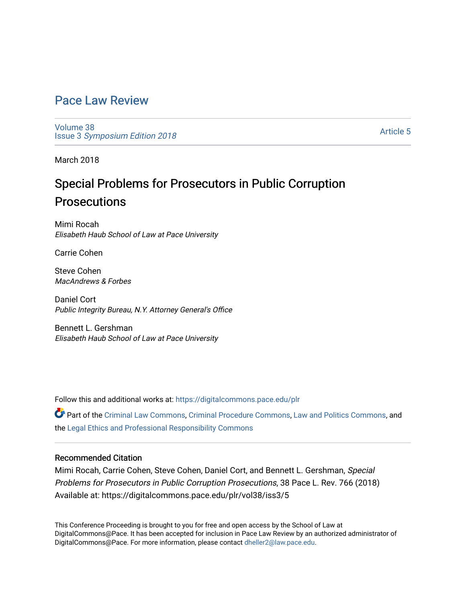# [Pace Law Review](https://digitalcommons.pace.edu/plr)

[Volume 38](https://digitalcommons.pace.edu/plr/vol38) Issue 3 [Symposium Edition 2018](https://digitalcommons.pace.edu/plr/vol38/iss3)

[Article 5](https://digitalcommons.pace.edu/plr/vol38/iss3/5) 

March 2018

# Special Problems for Prosecutors in Public Corruption Prosecutions

Mimi Rocah Elisabeth Haub School of Law at Pace University

Carrie Cohen

Steve Cohen MacAndrews & Forbes

Daniel Cort Public Integrity Bureau, N.Y. Attorney General's Office

Bennett L. Gershman Elisabeth Haub School of Law at Pace University

Follow this and additional works at: [https://digitalcommons.pace.edu/plr](https://digitalcommons.pace.edu/plr?utm_source=digitalcommons.pace.edu%2Fplr%2Fvol38%2Fiss3%2F5&utm_medium=PDF&utm_campaign=PDFCoverPages)

Part of the [Criminal Law Commons,](http://network.bepress.com/hgg/discipline/912?utm_source=digitalcommons.pace.edu%2Fplr%2Fvol38%2Fiss3%2F5&utm_medium=PDF&utm_campaign=PDFCoverPages) [Criminal Procedure Commons,](http://network.bepress.com/hgg/discipline/1073?utm_source=digitalcommons.pace.edu%2Fplr%2Fvol38%2Fiss3%2F5&utm_medium=PDF&utm_campaign=PDFCoverPages) [Law and Politics Commons](http://network.bepress.com/hgg/discipline/867?utm_source=digitalcommons.pace.edu%2Fplr%2Fvol38%2Fiss3%2F5&utm_medium=PDF&utm_campaign=PDFCoverPages), and the [Legal Ethics and Professional Responsibility Commons](http://network.bepress.com/hgg/discipline/895?utm_source=digitalcommons.pace.edu%2Fplr%2Fvol38%2Fiss3%2F5&utm_medium=PDF&utm_campaign=PDFCoverPages) 

# Recommended Citation

Mimi Rocah, Carrie Cohen, Steve Cohen, Daniel Cort, and Bennett L. Gershman, Special Problems for Prosecutors in Public Corruption Prosecutions, 38 Pace L. Rev. 766 (2018) Available at: https://digitalcommons.pace.edu/plr/vol38/iss3/5

This Conference Proceeding is brought to you for free and open access by the School of Law at DigitalCommons@Pace. It has been accepted for inclusion in Pace Law Review by an authorized administrator of DigitalCommons@Pace. For more information, please contact [dheller2@law.pace.edu.](mailto:dheller2@law.pace.edu)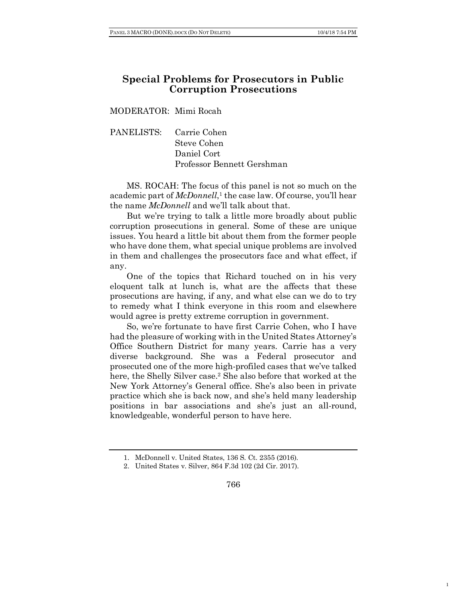1

# **Special Problems for Prosecutors in Public Corruption Prosecutions**

MODERATOR: Mimi Rocah

PANELISTS: Carrie Cohen Steve Cohen Daniel Cort Professor Bennett Gershman

MS. ROCAH: The focus of this panel is not so much on the academic part of *McDonnell*, <sup>1</sup> the case law. Of course, you'll hear the name *McDonnell* and we'll talk about that.

But we're trying to talk a little more broadly about public corruption prosecutions in general. Some of these are unique issues. You heard a little bit about them from the former people who have done them, what special unique problems are involved in them and challenges the prosecutors face and what effect, if any.

One of the topics that Richard touched on in his very eloquent talk at lunch is, what are the affects that these prosecutions are having, if any, and what else can we do to try to remedy what I think everyone in this room and elsewhere would agree is pretty extreme corruption in government.

So, we're fortunate to have first Carrie Cohen, who I have had the pleasure of working with in the United States Attorney's Office Southern District for many years. Carrie has a very diverse background. She was a Federal prosecutor and prosecuted one of the more high-profiled cases that we've talked here, the Shelly Silver case.<sup>2</sup> She also before that worked at the New York Attorney's General office. She's also been in private practice which she is back now, and she's held many leadership positions in bar associations and she's just an all-round, knowledgeable, wonderful person to have here.

766

<sup>1.</sup> McDonnell v. United States, 136 S. Ct. 2355 (2016).

<sup>2.</sup> United States v. Silver, 864 F.3d 102 (2d Cir. 2017).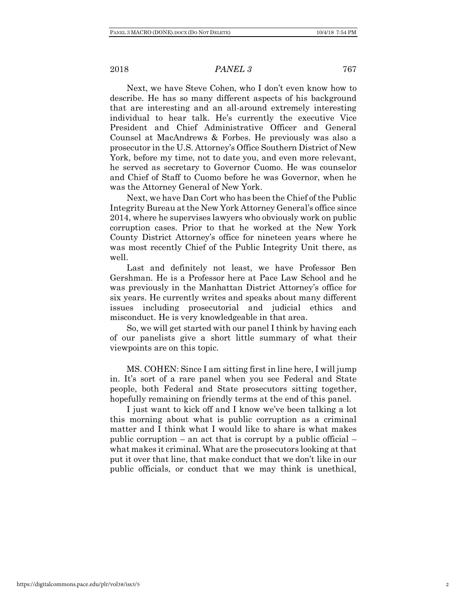Next, we have Steve Cohen, who I don't even know how to describe. He has so many different aspects of his background that are interesting and an all-around extremely interesting individual to hear talk. He's currently the executive Vice President and Chief Administrative Officer and General Counsel at MacAndrews & Forbes. He previously was also a prosecutor in the U.S. Attorney's Office Southern District of New York, before my time, not to date you, and even more relevant, he served as secretary to Governor Cuomo. He was counselor and Chief of Staff to Cuomo before he was Governor, when he was the Attorney General of New York.

Next, we have Dan Cort who has been the Chief of the Public Integrity Bureau at the New York Attorney General's office since 2014, where he supervises lawyers who obviously work on public corruption cases. Prior to that he worked at the New York County District Attorney's office for nineteen years where he was most recently Chief of the Public Integrity Unit there, as well.

Last and definitely not least, we have Professor Ben Gershman. He is a Professor here at Pace Law School and he was previously in the Manhattan District Attorney's office for six years. He currently writes and speaks about many different issues including prosecutorial and judicial ethics and misconduct. He is very knowledgeable in that area.

So, we will get started with our panel I think by having each of our panelists give a short little summary of what their viewpoints are on this topic.

MS. COHEN: Since I am sitting first in line here, I will jump in. It's sort of a rare panel when you see Federal and State people, both Federal and State prosecutors sitting together, hopefully remaining on friendly terms at the end of this panel.

I just want to kick off and I know we've been talking a lot this morning about what is public corruption as a criminal matter and I think what I would like to share is what makes public corruption – an act that is corrupt by a public official – what makes it criminal. What are the prosecutors looking at that put it over that line, that make conduct that we don't like in our public officials, or conduct that we may think is unethical,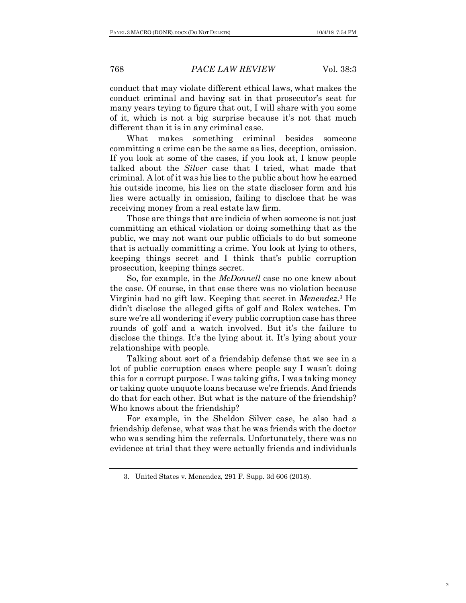conduct that may violate different ethical laws, what makes the conduct criminal and having sat in that prosecutor's seat for many years trying to figure that out, I will share with you some of it, which is not a big surprise because it's not that much different than it is in any criminal case.

What makes something criminal besides someone committing a crime can be the same as lies, deception, omission. If you look at some of the cases, if you look at, I know people talked about the *Silver* case that I tried, what made that criminal. A lot of it was his lies to the public about how he earned his outside income, his lies on the state discloser form and his lies were actually in omission, failing to disclose that he was receiving money from a real estate law firm.

Those are things that are indicia of when someone is not just committing an ethical violation or doing something that as the public, we may not want our public officials to do but someone that is actually committing a crime. You look at lying to others, keeping things secret and I think that's public corruption prosecution, keeping things secret.

So, for example, in the *McDonnell* case no one knew about the case. Of course, in that case there was no violation because Virginia had no gift law. Keeping that secret in *Menendez*.3 He didn't disclose the alleged gifts of golf and Rolex watches. I'm sure we're all wondering if every public corruption case has three rounds of golf and a watch involved. But it's the failure to disclose the things. It's the lying about it. It's lying about your relationships with people.

Talking about sort of a friendship defense that we see in a lot of public corruption cases where people say I wasn't doing this for a corrupt purpose. I was taking gifts, I was taking money or taking quote unquote loans because we're friends. And friends do that for each other. But what is the nature of the friendship? Who knows about the friendship?

For example, in the Sheldon Silver case, he also had a friendship defense, what was that he was friends with the doctor who was sending him the referrals. Unfortunately, there was no evidence at trial that they were actually friends and individuals

<sup>3.</sup> United States v. Menendez, 291 F. Supp. 3d 606 (2018).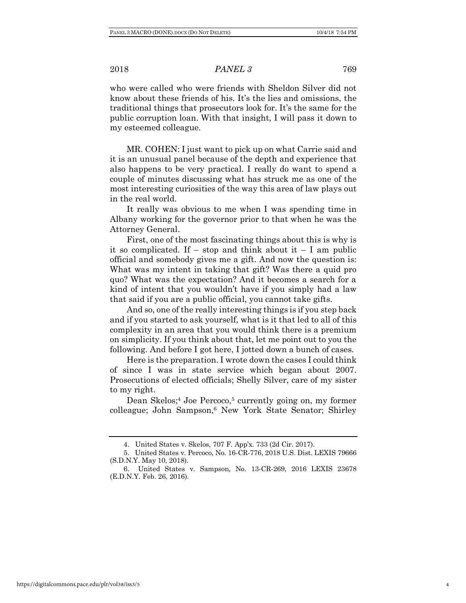who were called who were friends with Sheldon Silver did not know about these friends of his. It's the lies and omissions, the traditional things that prosecutors look for. It's the same for the public corruption loan. With that insight, I will pass it down to my esteemed colleague.

MR. COHEN: I just want to pick up on what Carrie said and it is an unusual panel because of the depth and experience that also happens to be very practical. I really do want to spend a couple of minutes discussing what has struck me as one of the most interesting curiosities of the way this area of law plays out in the real world.

It really was obvious to me when I was spending time in Albany working for the governor prior to that when he was the Attorney General.

First, one of the most fascinating things about this is why is it so complicated. If – stop and think about it – I am public official and somebody gives me a gift. And now the question is: What was my intent in taking that gift? Was there a quid pro quo? What was the expectation? And it becomes a search for a kind of intent that you wouldn't have if you simply had a law that said if you are a public official, you cannot take gifts.

And so, one of the really interesting things is if you step back and if you started to ask yourself, what is it that led to all of this complexity in an area that you would think there is a premium on simplicity. If you think about that, let me point out to you the following. And before I got here, I jotted down a bunch of cases.

Here is the preparation. I wrote down the cases I could think of since I was in state service which began about 2007. Prosecutions of elected officials; Shelly Silver, care of my sister to my right.

Dean Skelos;<sup>4</sup> Joe Percoco,<sup>5</sup> currently going on, my former colleague; John Sampson,<sup>6</sup> New York State Senator; Shirley

<sup>4.</sup> United States v. Skelos, 707 F. App'x. 733 (2d Cir. 2017).

<sup>5.</sup> United States v. Percoco, No. 16-CR-776, 2018 U.S. Dist. LEXIS 79666 (S.D.N.Y. May 10, 2018).

<sup>6.</sup> United States v. Sampson, No. 13-CR-269, 2016 LEXIS 23678 (E.D.N.Y. Feb. 26, 2016).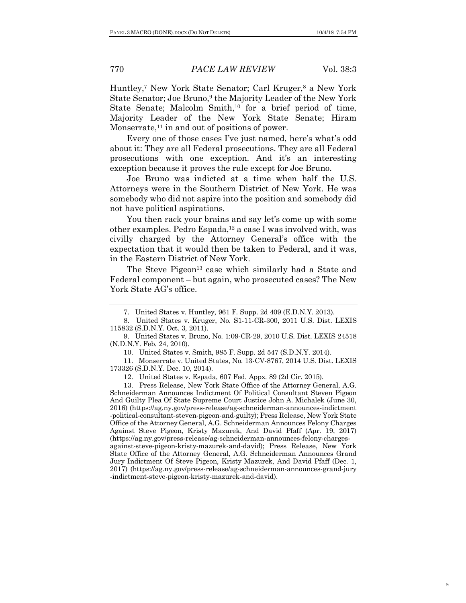Huntley,<sup>7</sup> New York State Senator; Carl Kruger,<sup>8</sup> a New York State Senator; Joe Bruno,<sup>9</sup> the Majority Leader of the New York State Senate; Malcolm Smith, $10$  for a brief period of time, Majority Leader of the New York State Senate; Hiram Monserrate, $^{11}$  in and out of positions of power.

Every one of those cases I've just named, here's what's odd about it: They are all Federal prosecutions. They are all Federal prosecutions with one exception. And it's an interesting exception because it proves the rule except for Joe Bruno.

Joe Bruno was indicted at a time when half the U.S. Attorneys were in the Southern District of New York. He was somebody who did not aspire into the position and somebody did not have political aspirations.

You then rack your brains and say let's come up with some other examples. Pedro Espada,12 a case I was involved with, was civilly charged by the Attorney General's office with the expectation that it would then be taken to Federal, and it was, in the Eastern District of New York.

The Steve Pigeon<sup>13</sup> case which similarly had a State and Federal component – but again, who prosecuted cases? The New York State AG's office.

12. United States v. Espada, 607 Fed. Appx. 89 (2d Cir. 2015).

13. Press Release, New York State Office of the Attorney General, A.G. Schneiderman Announces Indictment Of Political Consultant Steven Pigeon And Guilty Plea Of State Supreme Court Justice John A. Michalek (June 30, 2016) (https://ag.ny.gov/press-release/ag-schneiderman-announces-indictment -political-consultant-steven-pigeon-and-guilty); Press Release, New York State Office of the Attorney General, A.G. Schneiderman Announces Felony Charges Against Steve Pigeon, Kristy Mazurek, And David Pfaff (Apr. 19, 2017) (https://ag.ny.gov/press-release/ag-schneiderman-announces-felony-chargesagainst-steve-pigeon-kristy-mazurek-and-david); Press Release, New York State Office of the Attorney General, A.G. Schneiderman Announces Grand Jury Indictment Of Steve Pigeon, Kristy Mazurek, And David Pfaff (Dec. 1, 2017) (https://ag.ny.gov/press-release/ag-schneiderman-announces-grand-jury -indictment-steve-pigeon-kristy-mazurek-and-david).

<sup>7.</sup> United States v. Huntley, 961 F. Supp. 2d 409 (E.D.N.Y. 2013).

<sup>8.</sup> United States v. Kruger, No. S1-11-CR-300, 2011 U.S. Dist. LEXIS 115832 (S.D.N.Y. Oct. 3, 2011).

<sup>9.</sup> United States v. Bruno, No. 1:09-CR-29, 2010 U.S. Dist. LEXIS 24518 (N.D.N.Y. Feb. 24, 2010).

<sup>10.</sup> United States v. Smith, 985 F. Supp. 2d 547 (S.D.N.Y. 2014).

<sup>11.</sup> Monserrate v. United States, No. 13-CV-8767, 2014 U.S. Dist. LEXIS 173326 (S.D.N.Y. Dec. 10, 2014).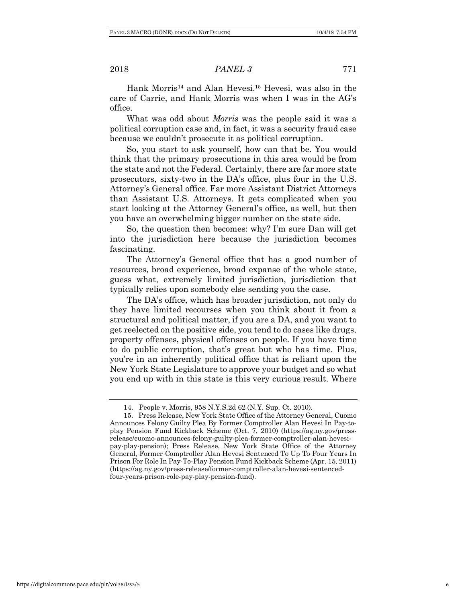Hank Morris<sup>14</sup> and Alan Hevesi.<sup>15</sup> Hevesi, was also in the care of Carrie, and Hank Morris was when I was in the AG's office.

What was odd about *Morris* was the people said it was a political corruption case and, in fact, it was a security fraud case because we couldn't prosecute it as political corruption.

So, you start to ask yourself, how can that be. You would think that the primary prosecutions in this area would be from the state and not the Federal. Certainly, there are far more state prosecutors, sixty-two in the DA's office, plus four in the U.S. Attorney's General office. Far more Assistant District Attorneys than Assistant U.S. Attorneys. It gets complicated when you start looking at the Attorney General's office, as well, but then you have an overwhelming bigger number on the state side.

So, the question then becomes: why? I'm sure Dan will get into the jurisdiction here because the jurisdiction becomes fascinating.

The Attorney's General office that has a good number of resources, broad experience, broad expanse of the whole state, guess what, extremely limited jurisdiction, jurisdiction that typically relies upon somebody else sending you the case.

The DA's office, which has broader jurisdiction, not only do they have limited recourses when you think about it from a structural and political matter, if you are a DA, and you want to get reelected on the positive side, you tend to do cases like drugs, property offenses, physical offenses on people. If you have time to do public corruption, that's great but who has time. Plus, you're in an inherently political office that is reliant upon the New York State Legislature to approve your budget and so what you end up with in this state is this very curious result. Where

<sup>14.</sup> People v. Morris, 958 N.Y.S.2d 62 (N.Y. Sup. Ct. 2010).

<sup>15.</sup> Press Release, New York State Office of the Attorney General, Cuomo Announces Felony Guilty Plea By Former Comptroller Alan Hevesi In Pay-toplay Pension Fund Kickback Scheme (Oct. 7, 2010) (https://ag.ny.gov/pressrelease/cuomo-announces-felony-guilty-plea-former-comptroller-alan-hevesipay-play-pension); Press Release, New York State Office of the Attorney General, Former Comptroller Alan Hevesi Sentenced To Up To Four Years In Prison For Role In Pay-To-Play Pension Fund Kickback Scheme (Apr. 15, 2011) (https://ag.ny.gov/press-release/former-comptroller-alan-hevesi-sentencedfour-years-prison-role-pay-play-pension-fund).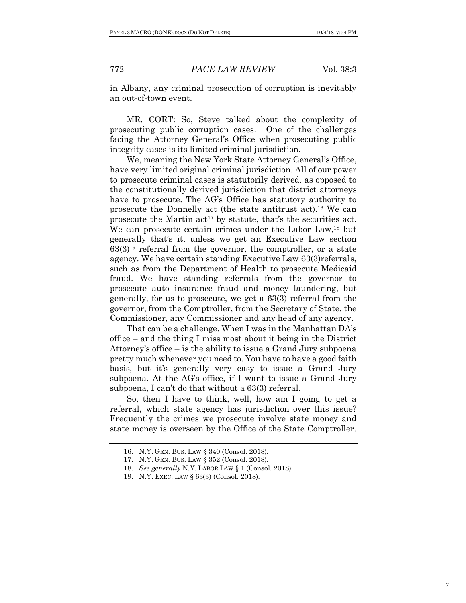in Albany, any criminal prosecution of corruption is inevitably an out-of-town event.

MR. CORT: So, Steve talked about the complexity of prosecuting public corruption cases. One of the challenges facing the Attorney General's Office when prosecuting public integrity cases is its limited criminal jurisdiction.

We, meaning the New York State Attorney General's Office, have very limited original criminal jurisdiction. All of our power to prosecute criminal cases is statutorily derived, as opposed to the constitutionally derived jurisdiction that district attorneys have to prosecute. The AG's Office has statutory authority to prosecute the Donnelly act (the state antitrust act).16 We can prosecute the Martin  $act^{17}$  by statute, that's the securities act. We can prosecute certain crimes under the Labor Law,<sup>18</sup> but generally that's it, unless we get an Executive Law section  $63(3)^{19}$  referral from the governor, the comptroller, or a state agency. We have certain standing Executive Law 63(3)referrals, such as from the Department of Health to prosecute Medicaid fraud. We have standing referrals from the governor to prosecute auto insurance fraud and money laundering, but generally, for us to prosecute, we get a 63(3) referral from the governor, from the Comptroller, from the Secretary of State, the Commissioner, any Commissioner and any head of any agency.

That can be a challenge. When I was in the Manhattan DA's office – and the thing I miss most about it being in the District Attorney's office – is the ability to issue a Grand Jury subpoena pretty much whenever you need to. You have to have a good faith basis, but it's generally very easy to issue a Grand Jury subpoena. At the AG's office, if I want to issue a Grand Jury subpoena, I can't do that without a 63(3) referral.

So, then I have to think, well, how am I going to get a referral, which state agency has jurisdiction over this issue? Frequently the crimes we prosecute involve state money and state money is overseen by the Office of the State Comptroller.

<sup>16.</sup> N.Y. GEN. BUS. LAW § 340 (Consol. 2018).

<sup>17.</sup> N.Y. GEN. BUS. LAW § 352 (Consol. 2018).

<sup>18.</sup> *See generally* N.Y. LABOR LAW § 1 (Consol. 2018).

<sup>19.</sup> N.Y. EXEC. LAW § 63(3) (Consol. 2018).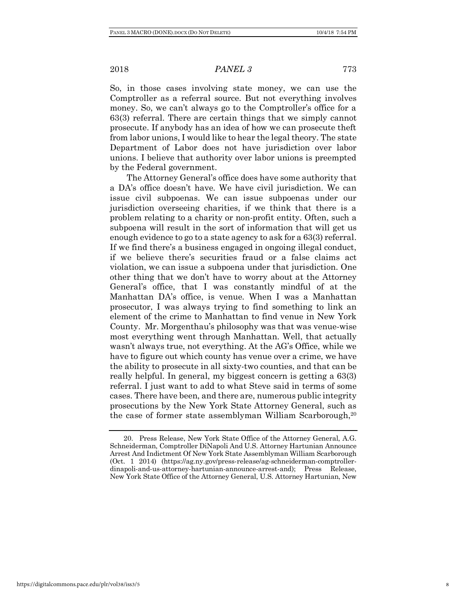So, in those cases involving state money, we can use the Comptroller as a referral source. But not everything involves money. So, we can't always go to the Comptroller's office for a 63(3) referral. There are certain things that we simply cannot prosecute. If anybody has an idea of how we can prosecute theft from labor unions, I would like to hear the legal theory. The state Department of Labor does not have jurisdiction over labor unions. I believe that authority over labor unions is preempted by the Federal government.

The Attorney General's office does have some authority that a DA's office doesn't have. We have civil jurisdiction. We can issue civil subpoenas. We can issue subpoenas under our jurisdiction overseeing charities, if we think that there is a problem relating to a charity or non-profit entity. Often, such a subpoena will result in the sort of information that will get us enough evidence to go to a state agency to ask for a 63(3) referral. If we find there's a business engaged in ongoing illegal conduct, if we believe there's securities fraud or a false claims act violation, we can issue a subpoena under that jurisdiction. One other thing that we don't have to worry about at the Attorney General's office, that I was constantly mindful of at the Manhattan DA's office, is venue. When I was a Manhattan prosecutor, I was always trying to find something to link an element of the crime to Manhattan to find venue in New York County. Mr. Morgenthau's philosophy was that was venue-wise most everything went through Manhattan. Well, that actually wasn't always true, not everything. At the AG's Office, while we have to figure out which county has venue over a crime, we have the ability to prosecute in all sixty-two counties, and that can be really helpful. In general, my biggest concern is getting a 63(3) referral. I just want to add to what Steve said in terms of some cases. There have been, and there are, numerous public integrity prosecutions by the New York State Attorney General, such as the case of former state assemblyman William Scarborough,<sup>20</sup>

<sup>20.</sup> Press Release, New York State Office of the Attorney General, A.G. Schneiderman, Comptroller DiNapoli And U.S. Attorney Hartunian Announce Arrest And Indictment Of New York State Assemblyman William Scarborough (Oct. 1 2014) (https://ag.ny.gov/press-release/ag-schneiderman-comptrollerdinapoli-and-us-attorney-hartunian-announce-arrest-and); Press Release, New York State Office of the Attorney General, U.S. Attorney Hartunian, New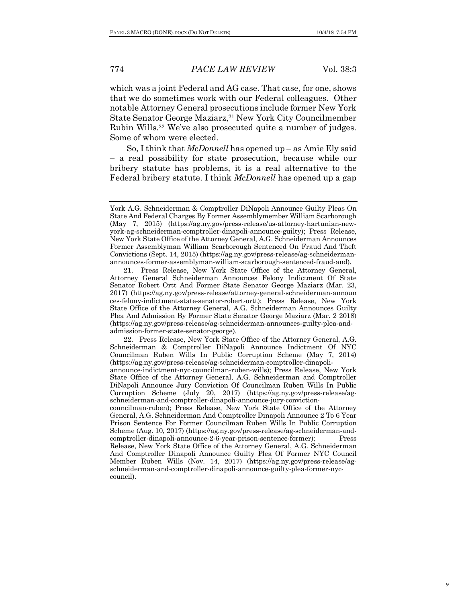which was a joint Federal and AG case. That case, for one, shows that we do sometimes work with our Federal colleagues. Other notable Attorney General prosecutions include former New York State Senator George Maziarz,<sup>21</sup> New York City Councilmember Rubin Wills.22 We've also prosecuted quite a number of judges. Some of whom were elected.

So, I think that *McDonnell* has opened up – as Amie Ely said – a real possibility for state prosecution, because while our bribery statute has problems, it is a real alternative to the Federal bribery statute. I think *McDonnell* has opened up a gap

22. Press Release, New York State Office of the Attorney General, A.G. Schneiderman & Comptroller DiNapoli Announce Indictment Of NYC Councilman Ruben Wills In Public Corruption Scheme (May 7, 2014) (https://ag.ny.gov/press-release/ag-schneiderman-comptroller-dinapoli-

councilman-ruben); Press Release, New York State Office of the Attorney General, A.G. Schneiderman And Comptroller Dinapoli Announce 2 To 6 Year Prison Sentence For Former Councilman Ruben Wills In Public Corruption Scheme (Aug. 10, 2017) (https://ag.ny.gov/press-release/ag-schneiderman-andcomptroller-dinapoli-announce-2-6-year-prison-sentence-former); Press Release, New York State Office of the Attorney General, A.G. Schneiderman And Comptroller Dinapoli Announce Guilty Plea Of Former NYC Council Member Ruben Wills (Nov. 14, 2017) (https://ag.ny.gov/press-release/agschneiderman-and-comptroller-dinapoli-announce-guilty-plea-former-nyccouncil).

York A.G. Schneiderman & Comptroller DiNapoli Announce Guilty Pleas On State And Federal Charges By Former Assemblymember William Scarborough (May 7, 2015) (https://ag.ny.gov/press-release/us-attorney-hartunian-newyork-ag-schneiderman-comptroller-dinapoli-announce-guilty); Press Release, New York State Office of the Attorney General, A.G. Schneiderman Announces Former Assemblyman William Scarborough Sentenced On Fraud And Theft Convictions (Sept. 14, 2015) (https://ag.ny.gov/press-release/ag-schneidermanannounces-former-assemblyman-william-scarborough-sentenced-fraud-and).

<sup>21.</sup> Press Release, New York State Office of the Attorney General, Attorney General Schneiderman Announces Felony Indictment Of State Senator Robert Ortt And Former State Senator George Maziarz (Mar. 23, 2017) (https://ag.ny.gov/press-release/attorney-general-schneiderman-announ ces-felony-indictment-state-senator-robert-ortt); Press Release, New York State Office of the Attorney General, A.G. Schneiderman Announces Guilty Plea And Admission By Former State Senator George Maziarz (Mar. 2 2018) (https://ag.ny.gov/press-release/ag-schneiderman-announces-guilty-plea-andadmission-former-state-senator-george).

announce-indictment-nyc-councilman-ruben-wills); Press Release, New York State Office of the Attorney General, A.G. Schneiderman and Comptroller DiNapoli Announce Jury Conviction Of Councilman Ruben Wills In Public Corruption Scheme (July 20, 2017) (https://ag.ny.gov/press-release/agschneiderman-and-comptroller-dinapoli-announce-jury-conviction-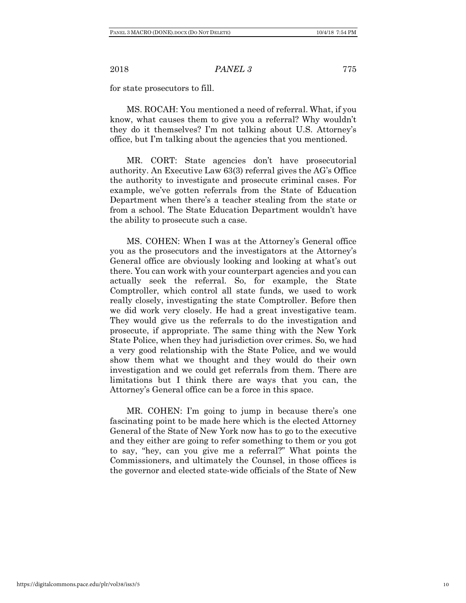for state prosecutors to fill.

MS. ROCAH: You mentioned a need of referral. What, if you know, what causes them to give you a referral? Why wouldn't they do it themselves? I'm not talking about U.S. Attorney's office, but I'm talking about the agencies that you mentioned.

MR. CORT: State agencies don't have prosecutorial authority. An Executive Law 63(3) referral gives the AG's Office the authority to investigate and prosecute criminal cases. For example, we've gotten referrals from the State of Education Department when there's a teacher stealing from the state or from a school. The State Education Department wouldn't have the ability to prosecute such a case.

MS. COHEN: When I was at the Attorney's General office you as the prosecutors and the investigators at the Attorney's General office are obviously looking and looking at what's out there. You can work with your counterpart agencies and you can actually seek the referral. So, for example, the State Comptroller, which control all state funds, we used to work really closely, investigating the state Comptroller. Before then we did work very closely. He had a great investigative team. They would give us the referrals to do the investigation and prosecute, if appropriate. The same thing with the New York State Police, when they had jurisdiction over crimes. So, we had a very good relationship with the State Police, and we would show them what we thought and they would do their own investigation and we could get referrals from them. There are limitations but I think there are ways that you can, the Attorney's General office can be a force in this space.

MR. COHEN: I'm going to jump in because there's one fascinating point to be made here which is the elected Attorney General of the State of New York now has to go to the executive and they either are going to refer something to them or you got to say, "hey, can you give me a referral?" What points the Commissioners, and ultimately the Counsel, in those offices is the governor and elected state-wide officials of the State of New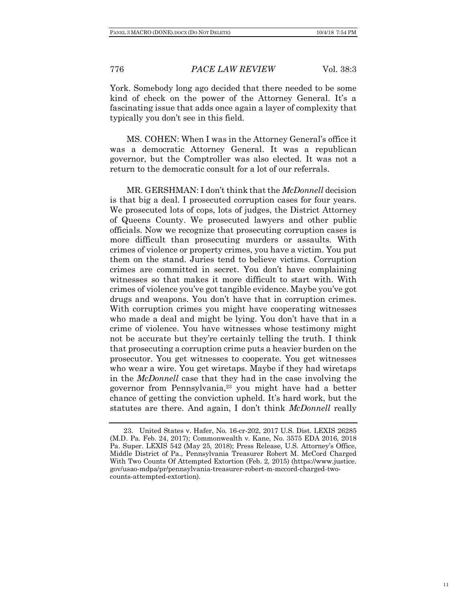York. Somebody long ago decided that there needed to be some kind of check on the power of the Attorney General. It's a fascinating issue that adds once again a layer of complexity that typically you don't see in this field.

MS. COHEN: When I was in the Attorney General's office it was a democratic Attorney General. It was a republican governor, but the Comptroller was also elected. It was not a return to the democratic consult for a lot of our referrals.

MR. GERSHMAN: I don't think that the *McDonnell* decision is that big a deal. I prosecuted corruption cases for four years. We prosecuted lots of cops, lots of judges, the District Attorney of Queens County. We prosecuted lawyers and other public officials. Now we recognize that prosecuting corruption cases is more difficult than prosecuting murders or assaults. With crimes of violence or property crimes, you have a victim. You put them on the stand. Juries tend to believe victims. Corruption crimes are committed in secret. You don't have complaining witnesses so that makes it more difficult to start with. With crimes of violence you've got tangible evidence. Maybe you've got drugs and weapons. You don't have that in corruption crimes. With corruption crimes you might have cooperating witnesses who made a deal and might be lying. You don't have that in a crime of violence. You have witnesses whose testimony might not be accurate but they're certainly telling the truth. I think that prosecuting a corruption crime puts a heavier burden on the prosecutor. You get witnesses to cooperate. You get witnesses who wear a wire. You get wiretaps. Maybe if they had wiretaps in the *McDonnell* case that they had in the case involving the governor from Pennsylvania,<sup>23</sup> you might have had a better chance of getting the conviction upheld. It's hard work, but the statutes are there. And again, I don't think *McDonnell* really

<sup>23.</sup> United States v. Hafer, No. 16-cr-202, 2017 U.S. Dist. LEXIS 26285 (M.D. Pa. Feb. 24, 2017); Commonwealth v. Kane, No. 3575 EDA 2016, 2018 Pa. Super. LEXIS 542 (May 25, 2018); Press Release, U.S. Attorney's Office, Middle District of Pa., Pennsylvania Treasurer Robert M. McCord Charged With Two Counts Of Attempted Extortion (Feb. 2, 2015) (https://www.justice. gov/usao-mdpa/pr/pennsylvania-treasurer-robert-m-mccord-charged-twocounts-attempted-extortion).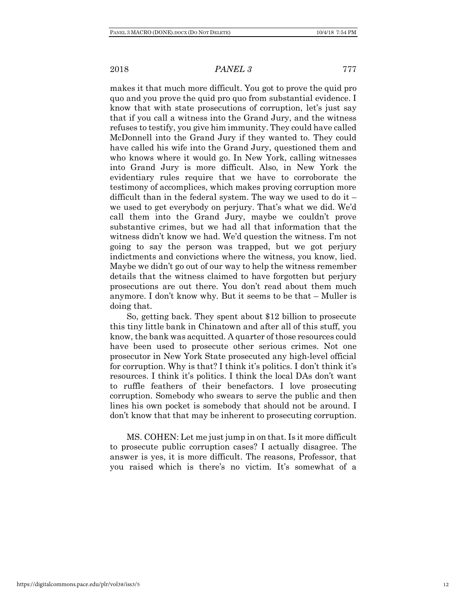makes it that much more difficult. You got to prove the quid pro quo and you prove the quid pro quo from substantial evidence. I know that with state prosecutions of corruption, let's just say that if you call a witness into the Grand Jury, and the witness refuses to testify, you give him immunity. They could have called McDonnell into the Grand Jury if they wanted to. They could have called his wife into the Grand Jury, questioned them and who knows where it would go. In New York, calling witnesses into Grand Jury is more difficult. Also, in New York the evidentiary rules require that we have to corroborate the testimony of accomplices, which makes proving corruption more difficult than in the federal system. The way we used to do it  $$ we used to get everybody on perjury. That's what we did. We'd call them into the Grand Jury, maybe we couldn't prove substantive crimes, but we had all that information that the witness didn't know we had. We'd question the witness. I'm not going to say the person was trapped, but we got perjury indictments and convictions where the witness, you know, lied. Maybe we didn't go out of our way to help the witness remember details that the witness claimed to have forgotten but perjury prosecutions are out there. You don't read about them much anymore. I don't know why. But it seems to be that – Muller is doing that.

So, getting back. They spent about \$12 billion to prosecute this tiny little bank in Chinatown and after all of this stuff, you know, the bank was acquitted. A quarter of those resources could have been used to prosecute other serious crimes. Not one prosecutor in New York State prosecuted any high-level official for corruption. Why is that? I think it's politics. I don't think it's resources. I think it's politics. I think the local DAs don't want to ruffle feathers of their benefactors. I love prosecuting corruption. Somebody who swears to serve the public and then lines his own pocket is somebody that should not be around. I don't know that that may be inherent to prosecuting corruption.

MS. COHEN: Let me just jump in on that. Is it more difficult to prosecute public corruption cases? I actually disagree. The answer is yes, it is more difficult. The reasons, Professor, that you raised which is there's no victim. It's somewhat of a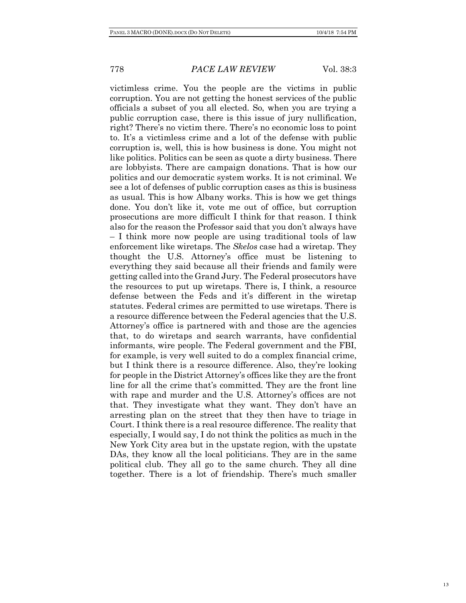victimless crime. You the people are the victims in public corruption. You are not getting the honest services of the public officials a subset of you all elected. So, when you are trying a public corruption case, there is this issue of jury nullification, right? There's no victim there. There's no economic loss to point to. It's a victimless crime and a lot of the defense with public corruption is, well, this is how business is done. You might not like politics. Politics can be seen as quote a dirty business. There are lobbyists. There are campaign donations. That is how our politics and our democratic system works. It is not criminal. We see a lot of defenses of public corruption cases as this is business as usual. This is how Albany works. This is how we get things done. You don't like it, vote me out of office, but corruption prosecutions are more difficult I think for that reason. I think also for the reason the Professor said that you don't always have – I think more now people are using traditional tools of law enforcement like wiretaps. The *Skelos* case had a wiretap. They thought the U.S. Attorney's office must be listening to everything they said because all their friends and family were getting called into the Grand Jury. The Federal prosecutors have the resources to put up wiretaps. There is, I think, a resource defense between the Feds and it's different in the wiretap statutes. Federal crimes are permitted to use wiretaps. There is a resource difference between the Federal agencies that the U.S. Attorney's office is partnered with and those are the agencies that, to do wiretaps and search warrants, have confidential informants, wire people. The Federal government and the FBI, for example, is very well suited to do a complex financial crime, but I think there is a resource difference. Also, they're looking for people in the District Attorney's offices like they are the front line for all the crime that's committed. They are the front line with rape and murder and the U.S. Attorney's offices are not that. They investigate what they want. They don't have an arresting plan on the street that they then have to triage in Court. I think there is a real resource difference. The reality that especially, I would say, I do not think the politics as much in the New York City area but in the upstate region, with the upstate DAs, they know all the local politicians. They are in the same political club. They all go to the same church. They all dine together. There is a lot of friendship. There's much smaller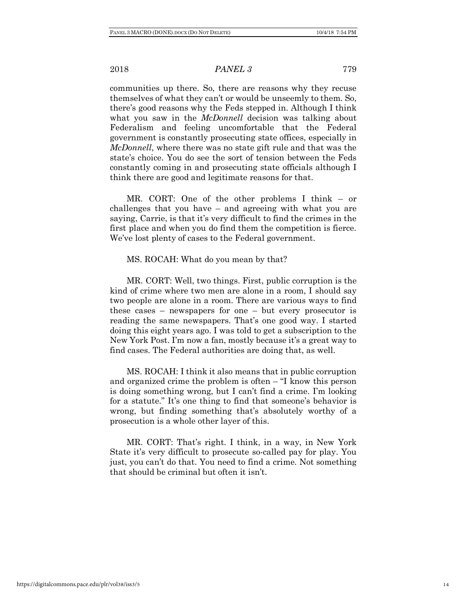communities up there. So, there are reasons why they recuse themselves of what they can't or would be unseemly to them. So, there's good reasons why the Feds stepped in. Although I think what you saw in the *McDonnell* decision was talking about Federalism and feeling uncomfortable that the Federal government is constantly prosecuting state offices, especially in *McDonnell*, where there was no state gift rule and that was the state's choice. You do see the sort of tension between the Feds constantly coming in and prosecuting state officials although I think there are good and legitimate reasons for that.

MR. CORT: One of the other problems I think – or challenges that you have – and agreeing with what you are saying, Carrie, is that it's very difficult to find the crimes in the first place and when you do find them the competition is fierce. We've lost plenty of cases to the Federal government.

### MS. ROCAH: What do you mean by that?

MR. CORT: Well, two things. First, public corruption is the kind of crime where two men are alone in a room, I should say two people are alone in a room. There are various ways to find these cases – newspapers for one – but every prosecutor is reading the same newspapers. That's one good way. I started doing this eight years ago. I was told to get a subscription to the New York Post. I'm now a fan, mostly because it's a great way to find cases. The Federal authorities are doing that, as well.

MS. ROCAH: I think it also means that in public corruption and organized crime the problem is often – "I know this person is doing something wrong, but I can't find a crime. I'm looking for a statute." It's one thing to find that someone's behavior is wrong, but finding something that's absolutely worthy of a prosecution is a whole other layer of this.

MR. CORT: That's right. I think, in a way, in New York State it's very difficult to prosecute so-called pay for play. You just, you can't do that. You need to find a crime. Not something that should be criminal but often it isn't.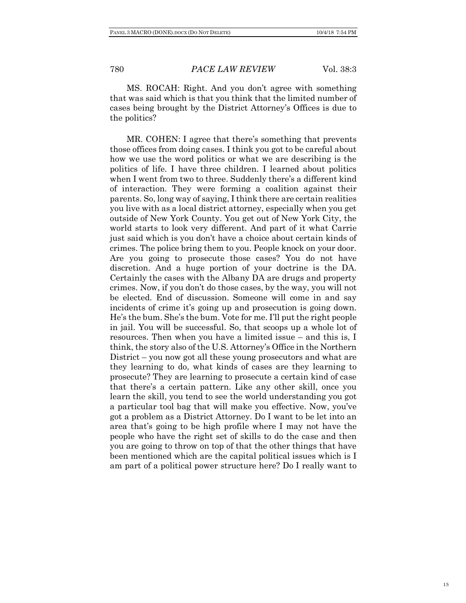MS. ROCAH: Right. And you don't agree with something that was said which is that you think that the limited number of cases being brought by the District Attorney's Offices is due to the politics?

MR. COHEN: I agree that there's something that prevents those offices from doing cases. I think you got to be careful about how we use the word politics or what we are describing is the politics of life. I have three children. I learned about politics when I went from two to three. Suddenly there's a different kind of interaction. They were forming a coalition against their parents. So, long way of saying, I think there are certain realities you live with as a local district attorney, especially when you get outside of New York County. You get out of New York City, the world starts to look very different. And part of it what Carrie just said which is you don't have a choice about certain kinds of crimes. The police bring them to you. People knock on your door. Are you going to prosecute those cases? You do not have discretion. And a huge portion of your doctrine is the DA. Certainly the cases with the Albany DA are drugs and property crimes. Now, if you don't do those cases, by the way, you will not be elected. End of discussion. Someone will come in and say incidents of crime it's going up and prosecution is going down. He's the bum. She's the bum. Vote for me. I'll put the right people in jail. You will be successful. So, that scoops up a whole lot of resources. Then when you have a limited issue – and this is, I think, the story also of the U.S. Attorney's Office in the Northern District – you now got all these young prosecutors and what are they learning to do, what kinds of cases are they learning to prosecute? They are learning to prosecute a certain kind of case that there's a certain pattern. Like any other skill, once you learn the skill, you tend to see the world understanding you got a particular tool bag that will make you effective. Now, you've got a problem as a District Attorney. Do I want to be let into an area that's going to be high profile where I may not have the people who have the right set of skills to do the case and then you are going to throw on top of that the other things that have been mentioned which are the capital political issues which is I am part of a political power structure here? Do I really want to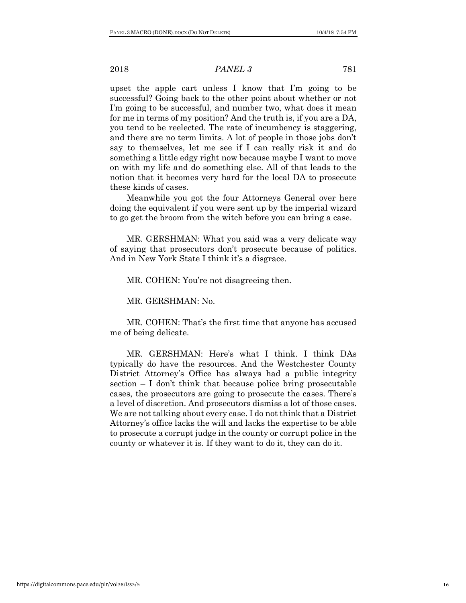upset the apple cart unless I know that I'm going to be successful? Going back to the other point about whether or not I'm going to be successful, and number two, what does it mean for me in terms of my position? And the truth is, if you are a DA, you tend to be reelected. The rate of incumbency is staggering, and there are no term limits. A lot of people in those jobs don't say to themselves, let me see if I can really risk it and do something a little edgy right now because maybe I want to move on with my life and do something else. All of that leads to the notion that it becomes very hard for the local DA to prosecute these kinds of cases.

Meanwhile you got the four Attorneys General over here doing the equivalent if you were sent up by the imperial wizard to go get the broom from the witch before you can bring a case.

MR. GERSHMAN: What you said was a very delicate way of saying that prosecutors don't prosecute because of politics. And in New York State I think it's a disgrace.

MR. COHEN: You're not disagreeing then.

MR. GERSHMAN: No.

MR. COHEN: That's the first time that anyone has accused me of being delicate.

MR. GERSHMAN: Here's what I think. I think DAs typically do have the resources. And the Westchester County District Attorney's Office has always had a public integrity section  $-I$  don't think that because police bring prosecutable cases, the prosecutors are going to prosecute the cases. There's a level of discretion. And prosecutors dismiss a lot of those cases. We are not talking about every case. I do not think that a District Attorney's office lacks the will and lacks the expertise to be able to prosecute a corrupt judge in the county or corrupt police in the county or whatever it is. If they want to do it, they can do it.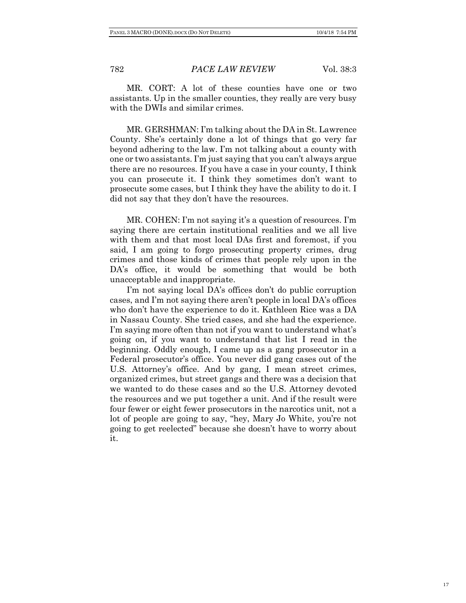MR. CORT: A lot of these counties have one or two assistants. Up in the smaller counties, they really are very busy with the DWIs and similar crimes.

MR. GERSHMAN: I'm talking about the DA in St. Lawrence County. She's certainly done a lot of things that go very far beyond adhering to the law. I'm not talking about a county with one or two assistants. I'm just saying that you can't always argue there are no resources. If you have a case in your county, I think you can prosecute it. I think they sometimes don't want to prosecute some cases, but I think they have the ability to do it. I did not say that they don't have the resources.

MR. COHEN: I'm not saying it's a question of resources. I'm saying there are certain institutional realities and we all live with them and that most local DAs first and foremost, if you said, I am going to forgo prosecuting property crimes, drug crimes and those kinds of crimes that people rely upon in the DA's office, it would be something that would be both unacceptable and inappropriate.

I'm not saying local DA's offices don't do public corruption cases, and I'm not saying there aren't people in local DA's offices who don't have the experience to do it. Kathleen Rice was a DA in Nassau County. She tried cases, and she had the experience. I'm saying more often than not if you want to understand what's going on, if you want to understand that list I read in the beginning. Oddly enough, I came up as a gang prosecutor in a Federal prosecutor's office. You never did gang cases out of the U.S. Attorney's office. And by gang, I mean street crimes, organized crimes, but street gangs and there was a decision that we wanted to do these cases and so the U.S. Attorney devoted the resources and we put together a unit. And if the result were four fewer or eight fewer prosecutors in the narcotics unit, not a lot of people are going to say, "hey, Mary Jo White, you're not going to get reelected" because she doesn't have to worry about it.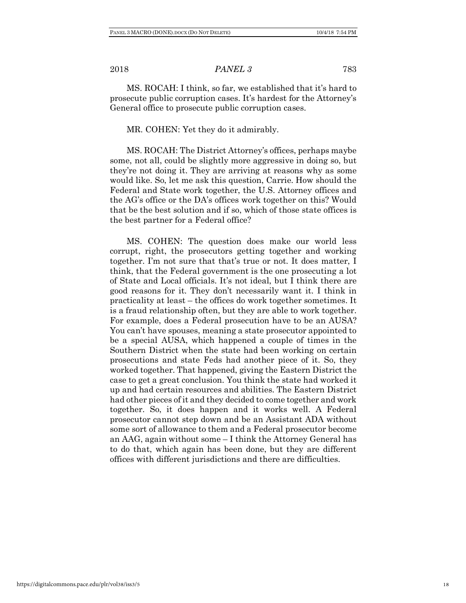MS. ROCAH: I think, so far, we established that it's hard to prosecute public corruption cases. It's hardest for the Attorney's General office to prosecute public corruption cases.

### MR. COHEN: Yet they do it admirably.

MS. ROCAH: The District Attorney's offices, perhaps maybe some, not all, could be slightly more aggressive in doing so, but they're not doing it. They are arriving at reasons why as some would like. So, let me ask this question, Carrie. How should the Federal and State work together, the U.S. Attorney offices and the AG's office or the DA's offices work together on this? Would that be the best solution and if so, which of those state offices is the best partner for a Federal office?

MS. COHEN: The question does make our world less corrupt, right, the prosecutors getting together and working together. I'm not sure that that's true or not. It does matter, I think, that the Federal government is the one prosecuting a lot of State and Local officials. It's not ideal, but I think there are good reasons for it. They don't necessarily want it. I think in practicality at least – the offices do work together sometimes. It is a fraud relationship often, but they are able to work together. For example, does a Federal prosecution have to be an AUSA? You can't have spouses, meaning a state prosecutor appointed to be a special AUSA, which happened a couple of times in the Southern District when the state had been working on certain prosecutions and state Feds had another piece of it. So, they worked together. That happened, giving the Eastern District the case to get a great conclusion. You think the state had worked it up and had certain resources and abilities. The Eastern District had other pieces of it and they decided to come together and work together. So, it does happen and it works well. A Federal prosecutor cannot step down and be an Assistant ADA without some sort of allowance to them and a Federal prosecutor become an AAG, again without some – I think the Attorney General has to do that, which again has been done, but they are different offices with different jurisdictions and there are difficulties.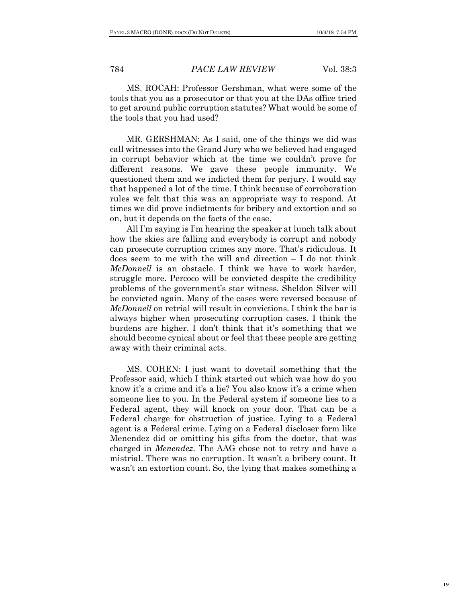MS. ROCAH: Professor Gershman, what were some of the tools that you as a prosecutor or that you at the DAs office tried to get around public corruption statutes? What would be some of the tools that you had used?

MR. GERSHMAN: As I said, one of the things we did was call witnesses into the Grand Jury who we believed had engaged in corrupt behavior which at the time we couldn't prove for different reasons. We gave these people immunity. We questioned them and we indicted them for perjury. I would say that happened a lot of the time. I think because of corroboration rules we felt that this was an appropriate way to respond. At times we did prove indictments for bribery and extortion and so on, but it depends on the facts of the case.

All I'm saying is I'm hearing the speaker at lunch talk about how the skies are falling and everybody is corrupt and nobody can prosecute corruption crimes any more. That's ridiculous. It does seem to me with the will and direction – I do not think *McDonnell* is an obstacle. I think we have to work harder, struggle more. Percoco will be convicted despite the credibility problems of the government's star witness. Sheldon Silver will be convicted again. Many of the cases were reversed because of *McDonnell* on retrial will result in convictions. I think the bar is always higher when prosecuting corruption cases. I think the burdens are higher. I don't think that it's something that we should become cynical about or feel that these people are getting away with their criminal acts.

MS. COHEN: I just want to dovetail something that the Professor said, which I think started out which was how do you know it's a crime and it's a lie? You also know it's a crime when someone lies to you. In the Federal system if someone lies to a Federal agent, they will knock on your door. That can be a Federal charge for obstruction of justice. Lying to a Federal agent is a Federal crime. Lying on a Federal discloser form like Menendez did or omitting his gifts from the doctor, that was charged in *Menendez*. The AAG chose not to retry and have a mistrial. There was no corruption. It wasn't a bribery count. It wasn't an extortion count. So, the lying that makes something a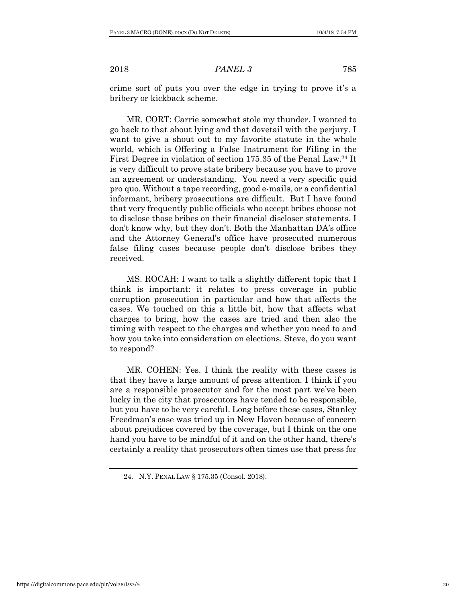crime sort of puts you over the edge in trying to prove it's a bribery or kickback scheme.

MR. CORT: Carrie somewhat stole my thunder. I wanted to go back to that about lying and that dovetail with the perjury. I want to give a shout out to my favorite statute in the whole world, which is Offering a False Instrument for Filing in the First Degree in violation of section 175.35 of the Penal Law.24 It is very difficult to prove state bribery because you have to prove an agreement or understanding. You need a very specific quid pro quo. Without a tape recording, good e-mails, or a confidential informant, bribery prosecutions are difficult. But I have found that very frequently public officials who accept bribes choose not to disclose those bribes on their financial discloser statements. I don't know why, but they don't. Both the Manhattan DA's office and the Attorney General's office have prosecuted numerous false filing cases because people don't disclose bribes they received.

MS. ROCAH: I want to talk a slightly different topic that I think is important: it relates to press coverage in public corruption prosecution in particular and how that affects the cases. We touched on this a little bit, how that affects what charges to bring, how the cases are tried and then also the timing with respect to the charges and whether you need to and how you take into consideration on elections. Steve, do you want to respond?

MR. COHEN: Yes. I think the reality with these cases is that they have a large amount of press attention. I think if you are a responsible prosecutor and for the most part we've been lucky in the city that prosecutors have tended to be responsible, but you have to be very careful. Long before these cases, Stanley Freedman's case was tried up in New Haven because of concern about prejudices covered by the coverage, but I think on the one hand you have to be mindful of it and on the other hand, there's certainly a reality that prosecutors often times use that press for

<sup>24.</sup> N.Y. PENAL LAW § 175.35 (Consol. 2018).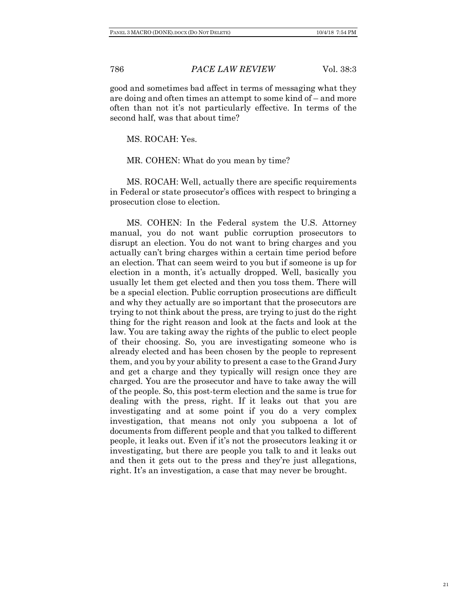good and sometimes bad affect in terms of messaging what they are doing and often times an attempt to some kind of – and more often than not it's not particularly effective. In terms of the second half, was that about time?

MS. ROCAH: Yes.

MR. COHEN: What do you mean by time?

MS. ROCAH: Well, actually there are specific requirements in Federal or state prosecutor's offices with respect to bringing a prosecution close to election.

MS. COHEN: In the Federal system the U.S. Attorney manual, you do not want public corruption prosecutors to disrupt an election. You do not want to bring charges and you actually can't bring charges within a certain time period before an election. That can seem weird to you but if someone is up for election in a month, it's actually dropped. Well, basically you usually let them get elected and then you toss them. There will be a special election. Public corruption prosecutions are difficult and why they actually are so important that the prosecutors are trying to not think about the press, are trying to just do the right thing for the right reason and look at the facts and look at the law. You are taking away the rights of the public to elect people of their choosing. So, you are investigating someone who is already elected and has been chosen by the people to represent them, and you by your ability to present a case to the Grand Jury and get a charge and they typically will resign once they are charged. You are the prosecutor and have to take away the will of the people. So, this post-term election and the same is true for dealing with the press, right. If it leaks out that you are investigating and at some point if you do a very complex investigation, that means not only you subpoena a lot of documents from different people and that you talked to different people, it leaks out. Even if it's not the prosecutors leaking it or investigating, but there are people you talk to and it leaks out and then it gets out to the press and they're just allegations, right. It's an investigation, a case that may never be brought.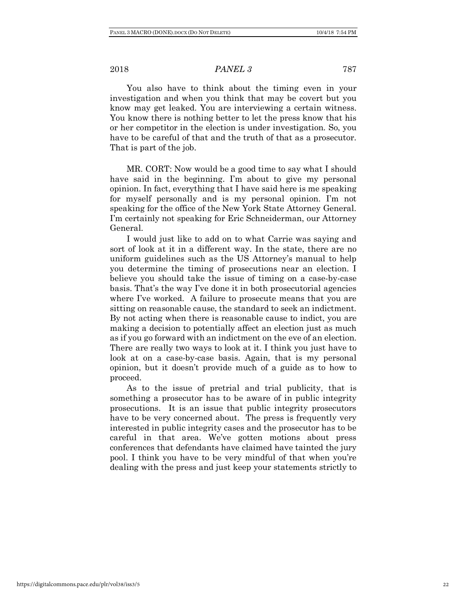You also have to think about the timing even in your investigation and when you think that may be covert but you know may get leaked. You are interviewing a certain witness. You know there is nothing better to let the press know that his or her competitor in the election is under investigation. So, you have to be careful of that and the truth of that as a prosecutor. That is part of the job.

MR. CORT: Now would be a good time to say what I should have said in the beginning. I'm about to give my personal opinion. In fact, everything that I have said here is me speaking for myself personally and is my personal opinion. I'm not speaking for the office of the New York State Attorney General. I'm certainly not speaking for Eric Schneiderman, our Attorney General.

I would just like to add on to what Carrie was saying and sort of look at it in a different way. In the state, there are no uniform guidelines such as the US Attorney's manual to help you determine the timing of prosecutions near an election. I believe you should take the issue of timing on a case-by-case basis. That's the way I've done it in both prosecutorial agencies where I've worked. A failure to prosecute means that you are sitting on reasonable cause, the standard to seek an indictment. By not acting when there is reasonable cause to indict, you are making a decision to potentially affect an election just as much as if you go forward with an indictment on the eve of an election. There are really two ways to look at it. I think you just have to look at on a case-by-case basis. Again, that is my personal opinion, but it doesn't provide much of a guide as to how to proceed.

As to the issue of pretrial and trial publicity, that is something a prosecutor has to be aware of in public integrity prosecutions. It is an issue that public integrity prosecutors have to be very concerned about. The press is frequently very interested in public integrity cases and the prosecutor has to be careful in that area. We've gotten motions about press conferences that defendants have claimed have tainted the jury pool. I think you have to be very mindful of that when you're dealing with the press and just keep your statements strictly to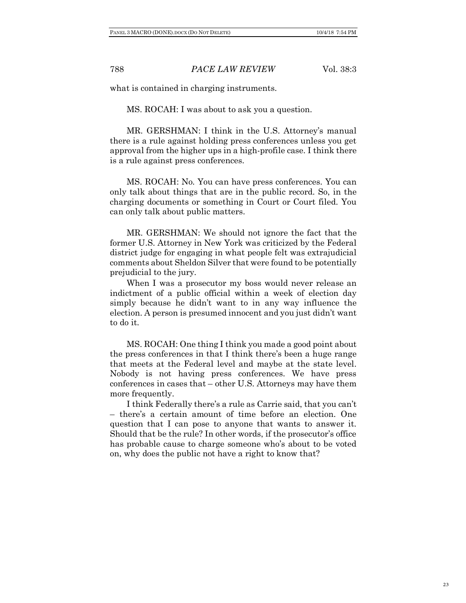what is contained in charging instruments.

MS. ROCAH: I was about to ask you a question.

MR. GERSHMAN: I think in the U.S. Attorney's manual there is a rule against holding press conferences unless you get approval from the higher ups in a high-profile case. I think there is a rule against press conferences.

MS. ROCAH: No. You can have press conferences. You can only talk about things that are in the public record. So, in the charging documents or something in Court or Court filed. You can only talk about public matters.

MR. GERSHMAN: We should not ignore the fact that the former U.S. Attorney in New York was criticized by the Federal district judge for engaging in what people felt was extrajudicial comments about Sheldon Silver that were found to be potentially prejudicial to the jury.

When I was a prosecutor my boss would never release an indictment of a public official within a week of election day simply because he didn't want to in any way influence the election. A person is presumed innocent and you just didn't want to do it.

MS. ROCAH: One thing I think you made a good point about the press conferences in that I think there's been a huge range that meets at the Federal level and maybe at the state level. Nobody is not having press conferences. We have press conferences in cases that – other U.S. Attorneys may have them more frequently.

I think Federally there's a rule as Carrie said, that you can't – there's a certain amount of time before an election. One question that I can pose to anyone that wants to answer it. Should that be the rule? In other words, if the prosecutor's office has probable cause to charge someone who's about to be voted on, why does the public not have a right to know that?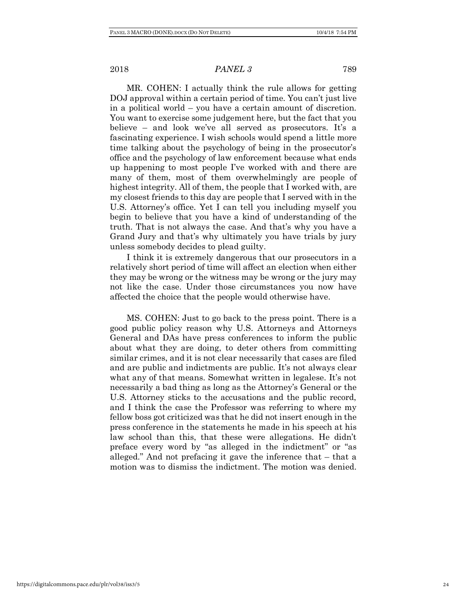MR. COHEN: I actually think the rule allows for getting DOJ approval within a certain period of time. You can't just live in a political world – you have a certain amount of discretion. You want to exercise some judgement here, but the fact that you believe – and look we've all served as prosecutors. It's a fascinating experience. I wish schools would spend a little more time talking about the psychology of being in the prosecutor's office and the psychology of law enforcement because what ends up happening to most people I've worked with and there are many of them, most of them overwhelmingly are people of highest integrity. All of them, the people that I worked with, are my closest friends to this day are people that I served with in the U.S. Attorney's office. Yet I can tell you including myself you begin to believe that you have a kind of understanding of the truth. That is not always the case. And that's why you have a Grand Jury and that's why ultimately you have trials by jury unless somebody decides to plead guilty.

I think it is extremely dangerous that our prosecutors in a relatively short period of time will affect an election when either they may be wrong or the witness may be wrong or the jury may not like the case. Under those circumstances you now have affected the choice that the people would otherwise have.

MS. COHEN: Just to go back to the press point. There is a good public policy reason why U.S. Attorneys and Attorneys General and DAs have press conferences to inform the public about what they are doing, to deter others from committing similar crimes, and it is not clear necessarily that cases are filed and are public and indictments are public. It's not always clear what any of that means. Somewhat written in legalese. It's not necessarily a bad thing as long as the Attorney's General or the U.S. Attorney sticks to the accusations and the public record, and I think the case the Professor was referring to where my fellow boss got criticized was that he did not insert enough in the press conference in the statements he made in his speech at his law school than this, that these were allegations. He didn't preface every word by "as alleged in the indictment" or "as alleged." And not prefacing it gave the inference that – that a motion was to dismiss the indictment. The motion was denied.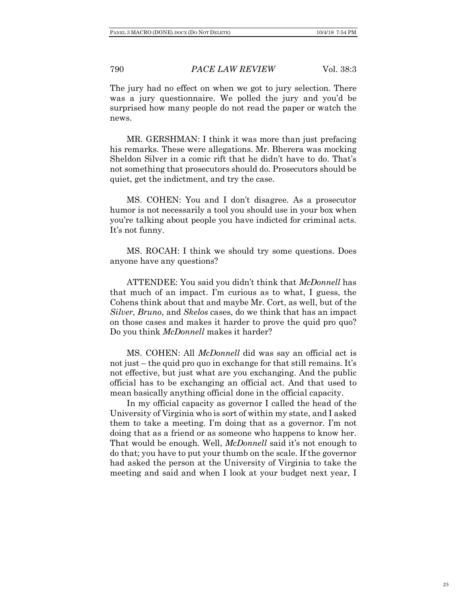The jury had no effect on when we got to jury selection. There was a jury questionnaire. We polled the jury and you'd be surprised how many people do not read the paper or watch the news.

MR. GERSHMAN: I think it was more than just prefacing his remarks. These were allegations. Mr. Bherera was mocking Sheldon Silver in a comic rift that he didn't have to do. That's not something that prosecutors should do. Prosecutors should be quiet, get the indictment, and try the case.

MS. COHEN: You and I don't disagree. As a prosecutor humor is not necessarily a tool you should use in your box when you're talking about people you have indicted for criminal acts. It's not funny.

MS. ROCAH: I think we should try some questions. Does anyone have any questions?

ATTENDEE: You said you didn't think that *McDonnell* has that much of an impact. I'm curious as to what, I guess, the Cohens think about that and maybe Mr. Cort, as well, but of the *Silver*, *Bruno*, and *Skelos* cases, do we think that has an impact on those cases and makes it harder to prove the quid pro quo? Do you think *McDonnell* makes it harder?

MS. COHEN: All *McDonnell* did was say an official act is not just – the quid pro quo in exchange for that still remains. It's not effective, but just what are you exchanging. And the public official has to be exchanging an official act. And that used to mean basically anything official done in the official capacity.

In my official capacity as governor I called the head of the University of Virginia who is sort of within my state, and I asked them to take a meeting. I'm doing that as a governor. I'm not doing that as a friend or as someone who happens to know her. That would be enough. Well, *McDonnell* said it's not enough to do that; you have to put your thumb on the scale. If the governor had asked the person at the University of Virginia to take the meeting and said and when I look at your budget next year, I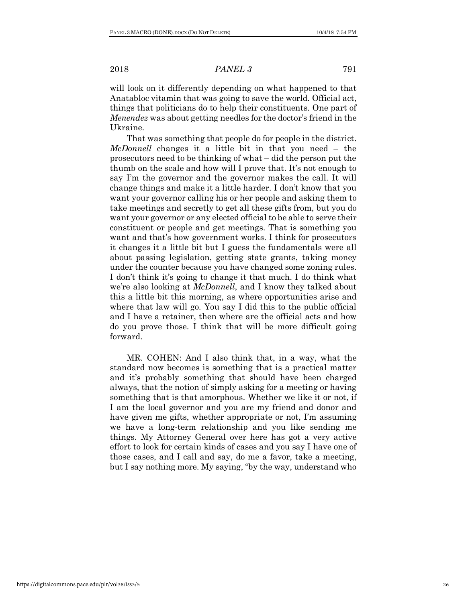will look on it differently depending on what happened to that Anatabloc vitamin that was going to save the world. Official act, things that politicians do to help their constituents. One part of *Menendez* was about getting needles for the doctor's friend in the Ukraine.

That was something that people do for people in the district. *McDonnell* changes it a little bit in that you need – the prosecutors need to be thinking of what – did the person put the thumb on the scale and how will I prove that. It's not enough to say I'm the governor and the governor makes the call. It will change things and make it a little harder. I don't know that you want your governor calling his or her people and asking them to take meetings and secretly to get all these gifts from, but you do want your governor or any elected official to be able to serve their constituent or people and get meetings. That is something you want and that's how government works. I think for prosecutors it changes it a little bit but I guess the fundamentals were all about passing legislation, getting state grants, taking money under the counter because you have changed some zoning rules. I don't think it's going to change it that much. I do think what we're also looking at *McDonnell*, and I know they talked about this a little bit this morning, as where opportunities arise and where that law will go. You say I did this to the public official and I have a retainer, then where are the official acts and how do you prove those. I think that will be more difficult going forward.

MR. COHEN: And I also think that, in a way, what the standard now becomes is something that is a practical matter and it's probably something that should have been charged always, that the notion of simply asking for a meeting or having something that is that amorphous. Whether we like it or not, if I am the local governor and you are my friend and donor and have given me gifts, whether appropriate or not, I'm assuming we have a long-term relationship and you like sending me things. My Attorney General over here has got a very active effort to look for certain kinds of cases and you say I have one of those cases, and I call and say, do me a favor, take a meeting, but I say nothing more. My saying, "by the way, understand who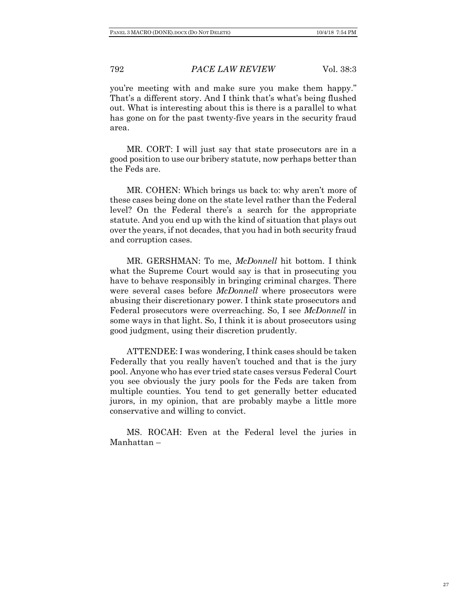you're meeting with and make sure you make them happy." That's a different story. And I think that's what's being flushed out. What is interesting about this is there is a parallel to what has gone on for the past twenty-five years in the security fraud area.

MR. CORT: I will just say that state prosecutors are in a good position to use our bribery statute, now perhaps better than the Feds are.

MR. COHEN: Which brings us back to: why aren't more of these cases being done on the state level rather than the Federal level? On the Federal there's a search for the appropriate statute. And you end up with the kind of situation that plays out over the years, if not decades, that you had in both security fraud and corruption cases.

MR. GERSHMAN: To me, *McDonnell* hit bottom. I think what the Supreme Court would say is that in prosecuting you have to behave responsibly in bringing criminal charges. There were several cases before *McDonnell* where prosecutors were abusing their discretionary power. I think state prosecutors and Federal prosecutors were overreaching. So, I see *McDonnell* in some ways in that light. So, I think it is about prosecutors using good judgment, using their discretion prudently.

ATTENDEE: I was wondering, I think cases should be taken Federally that you really haven't touched and that is the jury pool. Anyone who has ever tried state cases versus Federal Court you see obviously the jury pools for the Feds are taken from multiple counties. You tend to get generally better educated jurors, in my opinion, that are probably maybe a little more conservative and willing to convict.

MS. ROCAH: Even at the Federal level the juries in Manhattan –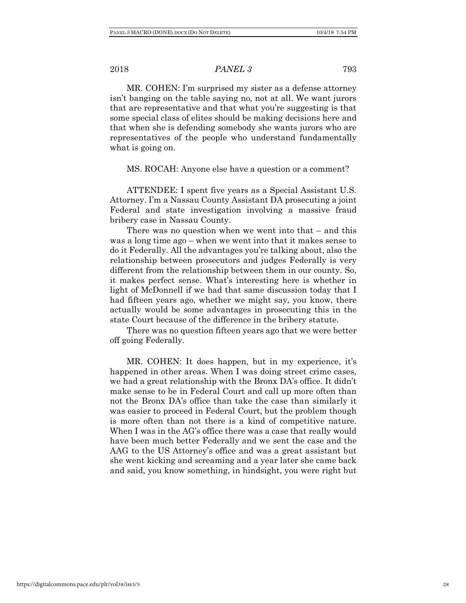MR. COHEN: I'm surprised my sister as a defense attorney isn't banging on the table saying no, not at all. We want jurors that are representative and that what you're suggesting is that some special class of elites should be making decisions here and that when she is defending somebody she wants jurors who are representatives of the people who understand fundamentally what is going on.

MS. ROCAH: Anyone else have a question or a comment?

ATTENDEE: I spent five years as a Special Assistant U.S. Attorney. I'm a Nassau County Assistant DA prosecuting a joint Federal and state investigation involving a massive fraud bribery case in Nassau County.

There was no question when we went into that – and this was a long time ago – when we went into that it makes sense to do it Federally. All the advantages you're talking about, also the relationship between prosecutors and judges Federally is very different from the relationship between them in our county. So, it makes perfect sense. What's interesting here is whether in light of McDonnell if we had that same discussion today that I had fifteen years ago, whether we might say, you know, there actually would be some advantages in prosecuting this in the state Court because of the difference in the bribery statute.

There was no question fifteen years ago that we were better off going Federally.

MR. COHEN: It does happen, but in my experience, it's happened in other areas. When I was doing street crime cases, we had a great relationship with the Bronx DA's office. It didn't make sense to be in Federal Court and call up more often than not the Bronx DA's office than take the case than similarly it was easier to proceed in Federal Court, but the problem though is more often than not there is a kind of competitive nature. When I was in the AG's office there was a case that really would have been much better Federally and we sent the case and the AAG to the US Attorney's office and was a great assistant but she went kicking and screaming and a year later she came back and said, you know something, in hindsight, you were right but